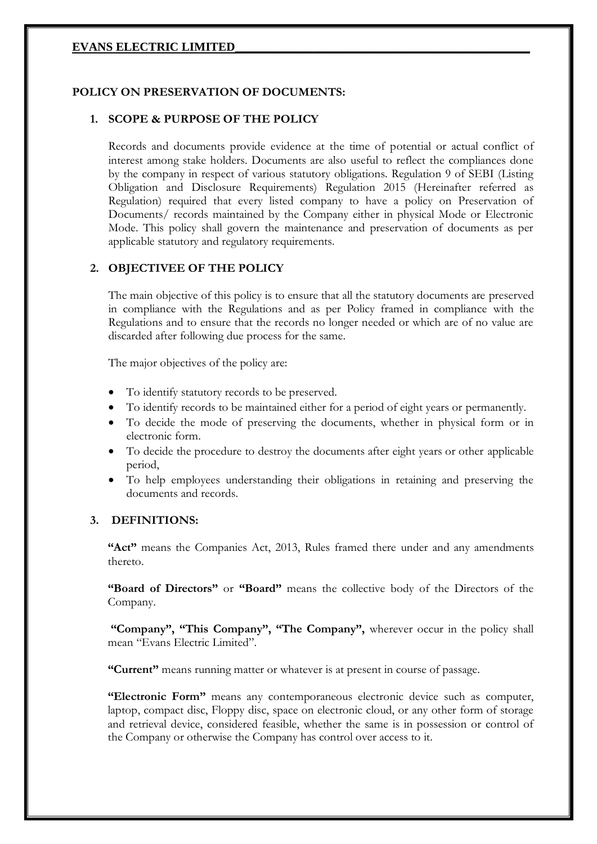## **POLICY ON PRESERVATION OF DOCUMENTS:**

#### **1. SCOPE & PURPOSE OF THE POLICY**

Records and documents provide evidence at the time of potential or actual conflict of interest among stake holders. Documents are also useful to reflect the compliances done by the company in respect of various statutory obligations. Regulation 9 of SEBI (Listing Obligation and Disclosure Requirements) Regulation 2015 (Hereinafter referred as Regulation) required that every listed company to have a policy on Preservation of Documents/ records maintained by the Company either in physical Mode or Electronic Mode. This policy shall govern the maintenance and preservation of documents as per applicable statutory and regulatory requirements.

#### **2. OBJECTIVEE OF THE POLICY**

The main objective of this policy is to ensure that all the statutory documents are preserved in compliance with the Regulations and as per Policy framed in compliance with the Regulations and to ensure that the records no longer needed or which are of no value are discarded after following due process for the same.

The major objectives of the policy are:

- To identify statutory records to be preserved.
- To identify records to be maintained either for a period of eight years or permanently.
- To decide the mode of preserving the documents, whether in physical form or in electronic form.
- To decide the procedure to destroy the documents after eight years or other applicable period,
- To help employees understanding their obligations in retaining and preserving the documents and records.

#### **3. DEFINITIONS:**

**"Act"** means the Companies Act, 2013, Rules framed there under and any amendments thereto.

**"Board of Directors"** or **"Board"** means the collective body of the Directors of the Company.

**"Company", "This Company", "The Company",** wherever occur in the policy shall mean "Evans Electric Limited".

**"Current"** means running matter or whatever is at present in course of passage.

**"Electronic Form"** means any contemporaneous electronic device such as computer, laptop, compact disc, Floppy disc, space on electronic cloud, or any other form of storage and retrieval device, considered feasible, whether the same is in possession or control of the Company or otherwise the Company has control over access to it.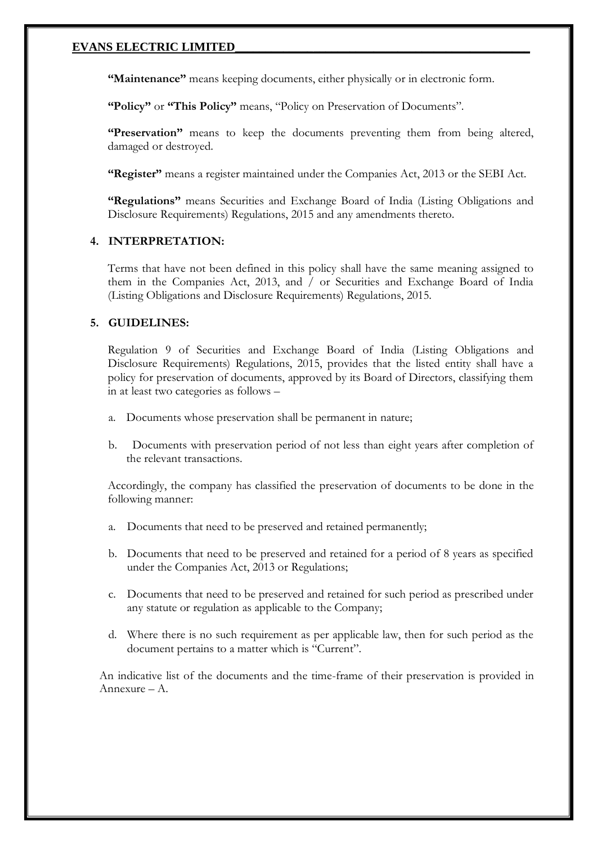**"Maintenance"** means keeping documents, either physically or in electronic form.

**"Policy"** or **"This Policy"** means, "Policy on Preservation of Documents".

**"Preservation"** means to keep the documents preventing them from being altered, damaged or destroyed.

**"Register"** means a register maintained under the Companies Act, 2013 or the SEBI Act.

**"Regulations"** means Securities and Exchange Board of India (Listing Obligations and Disclosure Requirements) Regulations, 2015 and any amendments thereto.

#### **4. INTERPRETATION:**

Terms that have not been defined in this policy shall have the same meaning assigned to them in the Companies Act, 2013, and / or Securities and Exchange Board of India (Listing Obligations and Disclosure Requirements) Regulations, 2015.

#### **5. GUIDELINES:**

Regulation 9 of Securities and Exchange Board of India (Listing Obligations and Disclosure Requirements) Regulations, 2015, provides that the listed entity shall have a policy for preservation of documents, approved by its Board of Directors, classifying them in at least two categories as follows –

- a. Documents whose preservation shall be permanent in nature;
- b. Documents with preservation period of not less than eight years after completion of the relevant transactions.

Accordingly, the company has classified the preservation of documents to be done in the following manner:

- a. Documents that need to be preserved and retained permanently;
- b. Documents that need to be preserved and retained for a period of 8 years as specified under the Companies Act, 2013 or Regulations;
- c. Documents that need to be preserved and retained for such period as prescribed under any statute or regulation as applicable to the Company;
- d. Where there is no such requirement as per applicable law, then for such period as the document pertains to a matter which is "Current".

An indicative list of the documents and the time-frame of their preservation is provided in Annexure – A.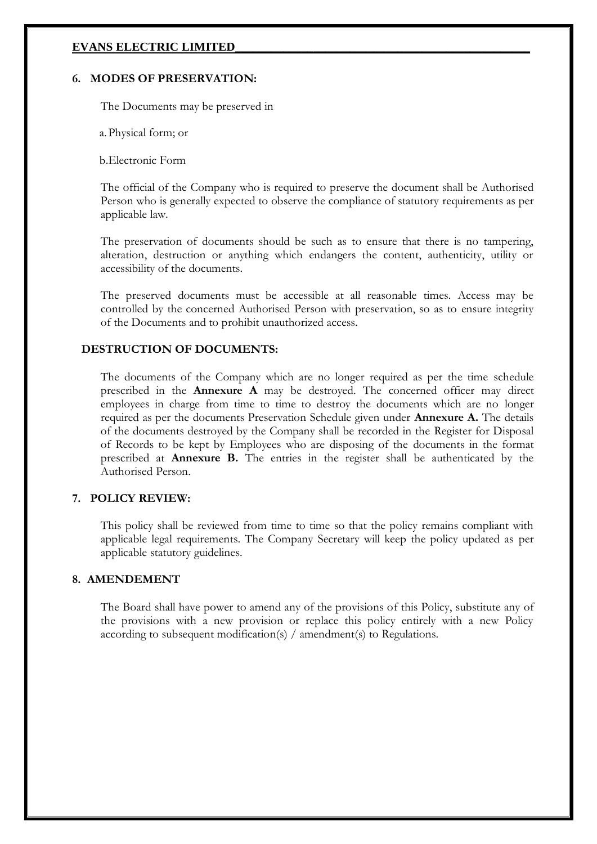#### **6. MODES OF PRESERVATION:**

The Documents may be preserved in

a.Physical form; or

b.Electronic Form

The official of the Company who is required to preserve the document shall be Authorised Person who is generally expected to observe the compliance of statutory requirements as per applicable law.

The preservation of documents should be such as to ensure that there is no tampering, alteration, destruction or anything which endangers the content, authenticity, utility or accessibility of the documents.

The preserved documents must be accessible at all reasonable times. Access may be controlled by the concerned Authorised Person with preservation, so as to ensure integrity of the Documents and to prohibit unauthorized access.

## **DESTRUCTION OF DOCUMENTS:**

The documents of the Company which are no longer required as per the time schedule prescribed in the **Annexure A** may be destroyed. The concerned officer may direct employees in charge from time to time to destroy the documents which are no longer required as per the documents Preservation Schedule given under **Annexure A.** The details of the documents destroyed by the Company shall be recorded in the Register for Disposal of Records to be kept by Employees who are disposing of the documents in the format prescribed at **Annexure B.** The entries in the register shall be authenticated by the Authorised Person.

## **7. POLICY REVIEW:**

This policy shall be reviewed from time to time so that the policy remains compliant with applicable legal requirements. The Company Secretary will keep the policy updated as per applicable statutory guidelines.

## **8. AMENDEMENT**

The Board shall have power to amend any of the provisions of this Policy, substitute any of the provisions with a new provision or replace this policy entirely with a new Policy according to subsequent modification(s) / amendment(s) to Regulations.